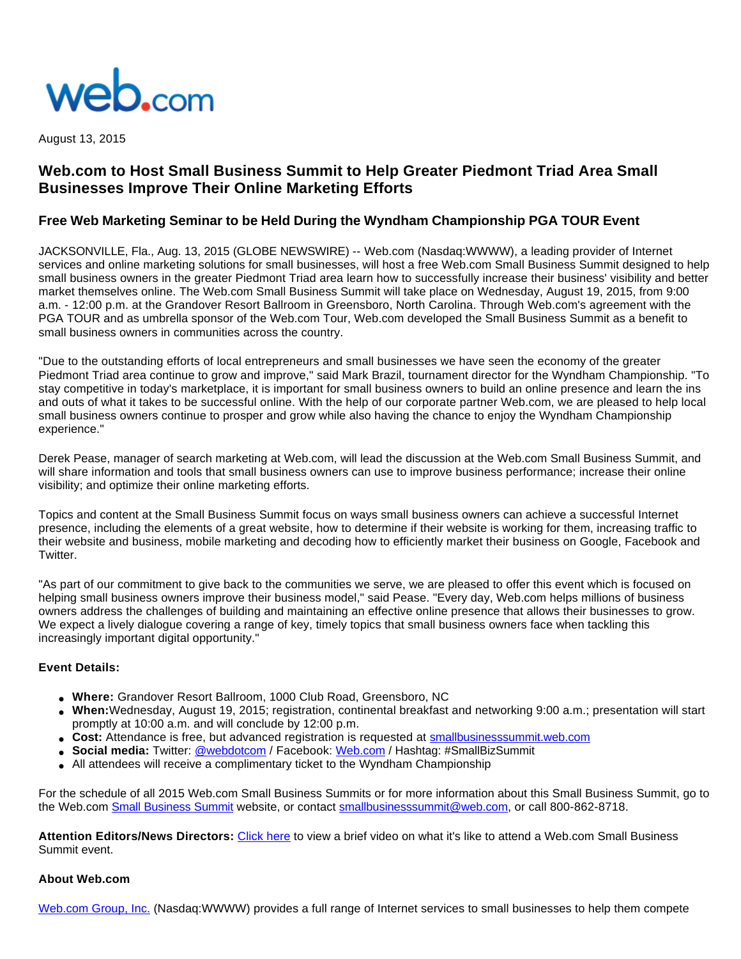

August 13, 2015

# **Web.com to Host Small Business Summit to Help Greater Piedmont Triad Area Small Businesses Improve Their Online Marketing Efforts**

## **Free Web Marketing Seminar to be Held During the Wyndham Championship PGA TOUR Event**

JACKSONVILLE, Fla., Aug. 13, 2015 (GLOBE NEWSWIRE) -- Web.com (Nasdaq:WWWW), a leading provider of Internet services and online marketing solutions for small businesses, will host a free Web.com Small Business Summit designed to help small business owners in the greater Piedmont Triad area learn how to successfully increase their business' visibility and better market themselves online. The Web.com Small Business Summit will take place on Wednesday, August 19, 2015, from 9:00 a.m. - 12:00 p.m. at the Grandover Resort Ballroom in Greensboro, North Carolina. Through Web.com's agreement with the PGA TOUR and as umbrella sponsor of the Web.com Tour, Web.com developed the Small Business Summit as a benefit to small business owners in communities across the country.

"Due to the outstanding efforts of local entrepreneurs and small businesses we have seen the economy of the greater Piedmont Triad area continue to grow and improve," said Mark Brazil, tournament director for the Wyndham Championship. "To stay competitive in today's marketplace, it is important for small business owners to build an online presence and learn the ins and outs of what it takes to be successful online. With the help of our corporate partner Web.com, we are pleased to help local small business owners continue to prosper and grow while also having the chance to enjoy the Wyndham Championship experience."

Derek Pease, manager of search marketing at Web.com, will lead the discussion at the Web.com Small Business Summit, and will share information and tools that small business owners can use to improve business performance; increase their online visibility; and optimize their online marketing efforts.

Topics and content at the Small Business Summit focus on ways small business owners can achieve a successful Internet presence, including the elements of a great website, how to determine if their website is working for them, increasing traffic to their website and business, mobile marketing and decoding how to efficiently market their business on Google, Facebook and **Twitter** 

"As part of our commitment to give back to the communities we serve, we are pleased to offer this event which is focused on helping small business owners improve their business model," said Pease. "Every day, Web.com helps millions of business owners address the challenges of building and maintaining an effective online presence that allows their businesses to grow. We expect a lively dialogue covering a range of key, timely topics that small business owners face when tackling this increasingly important digital opportunity."

#### **Event Details:**

- **Where:** Grandover Resort Ballroom, 1000 Club Road, Greensboro, NC
- **When:**Wednesday, August 19, 2015; registration, continental breakfast and networking 9:00 a.m.; presentation will start promptly at 10:00 a.m. and will conclude by 12:00 p.m.
- **Cost:** Attendance is free, but advanced registration is requested at [smallbusinesssummit.web.com](http://www.globenewswire.com/newsroom/ctr?d=10145965&l=6&a=smallbusinesssummit.web.com&u=http%3A%2F%2Fsmallbusinesssummit.web.com%2F)
- **Social media:** Twitter: [@webdotcom](http://www.globenewswire.com/newsroom/ctr?d=10145965&l=6&a=%40webdotcom&u=http%3A%2F%2Ftwitter.com%2Fwebdotcom) / Facebook: [Web.com](http://www.globenewswire.com/newsroom/ctr?d=10145965&l=6&a=Web.com&u=http%3A%2F%2Fwww.facebook.com%2FWeb.com) / Hashtag: #SmallBizSummit
- All attendees will receive a complimentary ticket to the Wyndham Championship

For the schedule of all 2015 Web.com Small Business Summits or for more information about this Small Business Summit, go to the Web.com [Small Business Summit](http://www.globenewswire.com/newsroom/ctr?d=10145965&l=7&a=Small%20Business%20Summit&u=http%3A%2F%2Fsmallbusinesssummit.web.com%2F) website, or contact [smallbusinesssummit@web.com,](http://www.globenewswire.com/newsroom/ctr?d=10145965&l=7&a=smallbusinesssummit%40web.com&u=mailto%3Asmallbusinesssummit%40web.com) or call 800-862-8718.

**Attention Editors/News Directors:** [Click here](http://www.globenewswire.com/newsroom/ctr?d=10145965&l=8&a=Click%20here&u=https%3A%2F%2Fwww.youtube.com%2Fwatch%3Fv%3D9GYOsxwgC4M) to view a brief video on what it's like to attend a Web.com Small Business Summit event.

#### **About Web.com**

[Web.com Group, Inc.](http://www.globenewswire.com/newsroom/ctr?d=10145965&l=10&a=Web.com%20Group%2C%20Inc.&u=http%3A%2F%2Fwww.web.com%2Fdefault.aspx) (Nasdaq:WWWW) provides a full range of Internet services to small businesses to help them compete